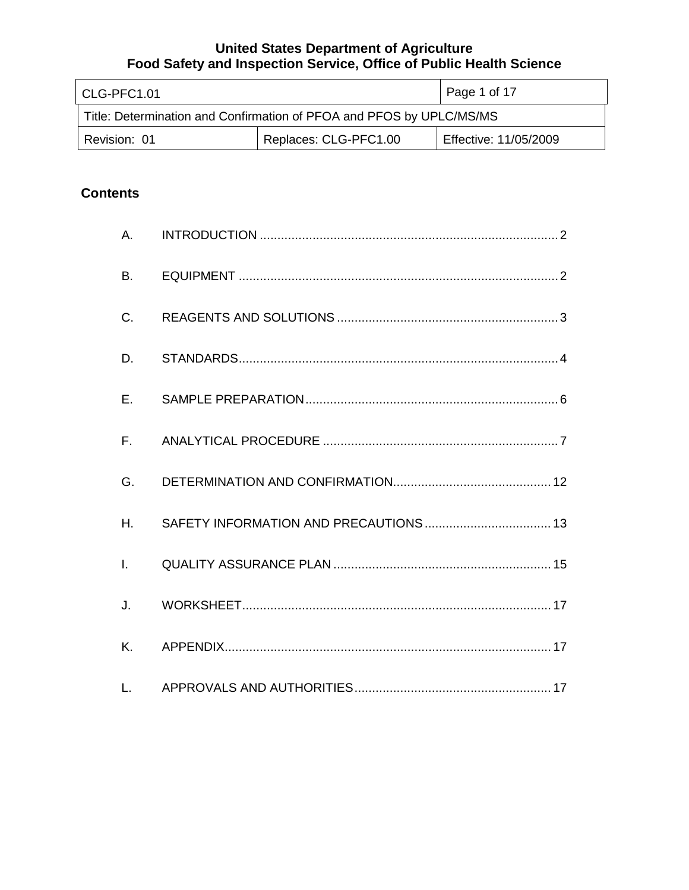| l CLG-PFC1.01                                                        |                       | Page 1 of 17          |
|----------------------------------------------------------------------|-----------------------|-----------------------|
| Title: Determination and Confirmation of PFOA and PFOS by UPLC/MS/MS |                       |                       |
| Revision: 01                                                         | Replaces: CLG-PFC1.00 | Effective: 11/05/2009 |

# **Contents**

| A.           |  |
|--------------|--|
| <b>B.</b>    |  |
| C.           |  |
| D.           |  |
| E.           |  |
| $F_{\perp}$  |  |
| G.           |  |
| Η.           |  |
| $\mathbf{L}$ |  |
| J.           |  |
| K.           |  |
| L.           |  |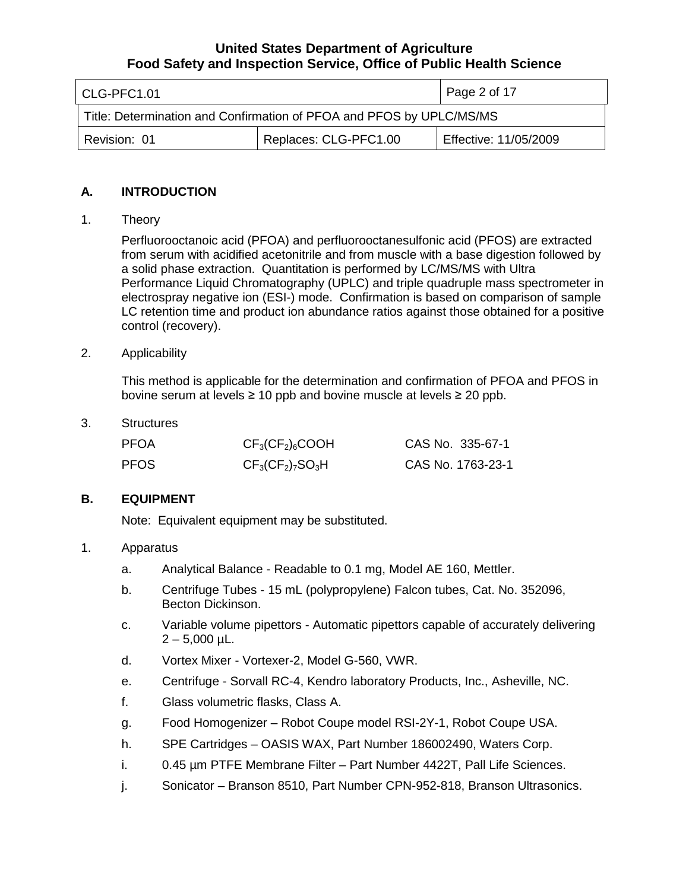| l CLG-PFC1.01                                                        |                       | $\vert$ Page 2 of 17  |
|----------------------------------------------------------------------|-----------------------|-----------------------|
| Title: Determination and Confirmation of PFOA and PFOS by UPLC/MS/MS |                       |                       |
| Revision: 01                                                         | Replaces: CLG-PFC1.00 | Effective: 11/05/2009 |

# **A. INTRODUCTION**

1. Theory

Perfluorooctanoic acid (PFOA) and perfluorooctanesulfonic acid (PFOS) are extracted from serum with acidified acetonitrile and from muscle with a base digestion followed by a solid phase extraction. Quantitation is performed by LC/MS/MS with Ultra Performance Liquid Chromatography (UPLC) and triple quadruple mass spectrometer in electrospray negative ion (ESI-) mode. Confirmation is based on comparison of sample LC retention time and product ion abundance ratios against those obtained for a positive control (recovery).

2. Applicability

This method is applicable for the determination and confirmation of PFOA and PFOS in bovine serum at levels ≥ 10 ppb and bovine muscle at levels ≥ 20 ppb.

3. Structures

| <b>PFOA</b> | $CF3(CF2)6COOH$     | CAS No. 335-67-1  |
|-------------|---------------------|-------------------|
| <b>PFOS</b> | $CF_3(CF_2)_7SO_3H$ | CAS No. 1763-23-1 |

# **B. EQUIPMENT**

Note: Equivalent equipment may be substituted.

### 1. Apparatus

- a. Analytical Balance Readable to 0.1 mg, Model AE 160, Mettler.
- b. Centrifuge Tubes 15 mL (polypropylene) Falcon tubes, Cat. No. 352096, Becton Dickinson.
- c. Variable volume pipettors Automatic pipettors capable of accurately delivering  $2 - 5,000$  µL.
- d. Vortex Mixer Vortexer-2, Model G-560, VWR.
- e. Centrifuge Sorvall RC-4, Kendro laboratory Products, Inc., Asheville, NC.
- f. Glass volumetric flasks, Class A.
- g. Food Homogenizer Robot Coupe model RSI-2Y-1, Robot Coupe USA.
- h. SPE Cartridges OASIS WAX, Part Number 186002490, Waters Corp.
- i. 0.45 µm PTFE Membrane Filter Part Number 4422T, Pall Life Sciences.
- j. Sonicator Branson 8510, Part Number CPN-952-818, Branson Ultrasonics.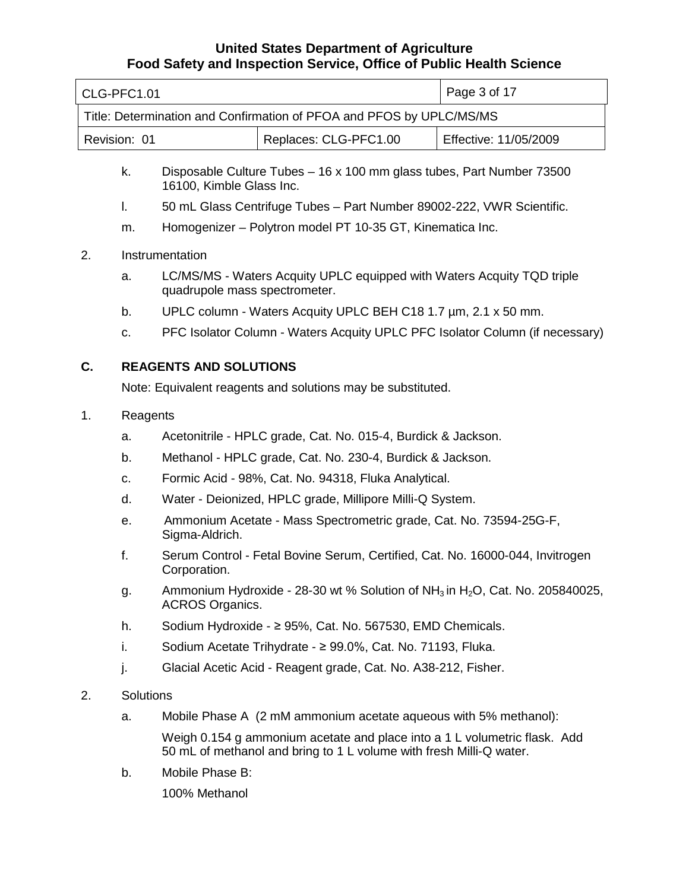| CLG-PFC1.01                                                          |                       | Page 3 of 17          |
|----------------------------------------------------------------------|-----------------------|-----------------------|
| Title: Determination and Confirmation of PFOA and PFOS by UPLC/MS/MS |                       |                       |
| Revision: 01                                                         | Replaces: CLG-PFC1.00 | Effective: 11/05/2009 |

- k. Disposable Culture Tubes 16 x 100 mm glass tubes, Part Number 73500 16100, Kimble Glass Inc.
- l. 50 mL Glass Centrifuge Tubes Part Number 89002-222, VWR Scientific.
- m. Homogenizer Polytron model PT 10-35 GT, Kinematica Inc.

### 2. Instrumentation

- a. LC/MS/MS Waters Acquity UPLC equipped with Waters Acquity TQD triple quadrupole mass spectrometer.
- b. UPLC column Waters Acquity UPLC BEH C18 1.7 µm, 2.1 x 50 mm.
- c. PFC Isolator Column Waters Acquity UPLC PFC Isolator Column (if necessary)

# **C. REAGENTS AND SOLUTIONS**

Note: Equivalent reagents and solutions may be substituted.

### 1. Reagents

- a. Acetonitrile HPLC grade, Cat. No. 015-4, Burdick & Jackson.
- b. Methanol HPLC grade, Cat. No. 230-4, Burdick & Jackson.
- c. Formic Acid 98%, Cat. No. 94318, Fluka Analytical.
- d. Water Deionized, HPLC grade, Millipore Milli-Q System.
- e. Ammonium Acetate Mass Spectrometric grade, Cat. No. 73594-25G-F, Sigma-Aldrich.
- f. Serum Control Fetal Bovine Serum, Certified, Cat. No. 16000-044, Invitrogen Corporation.
- g. Ammonium Hydroxide 28-30 wt % Solution of  $NH<sub>3</sub>$  in H<sub>2</sub>O, Cat. No. 205840025, ACROS Organics.
- h. Sodium Hydroxide ≥ 95%, Cat. No. 567530, EMD Chemicals.
- i. Sodium Acetate Trihydrate  $\geq$  99.0%, Cat. No. 71193, Fluka.
- j. Glacial Acetic Acid Reagent grade, Cat. No. A38-212, Fisher.

### 2. Solutions

a. Mobile Phase A (2 mM ammonium acetate aqueous with 5% methanol):

Weigh 0.154 g ammonium acetate and place into a 1 L volumetric flask. Add 50 mL of methanol and bring to 1 L volume with fresh Milli-Q water.

b. Mobile Phase B:

100% Methanol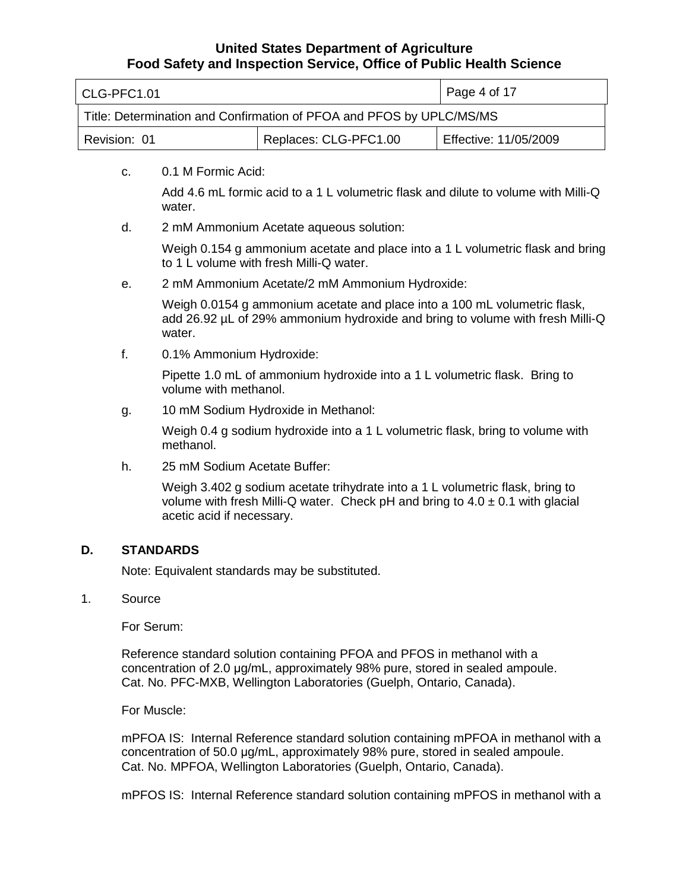| l CLG-PFC1.01                                                        |                       | $\vert$ Page 4 of 17  |
|----------------------------------------------------------------------|-----------------------|-----------------------|
| Title: Determination and Confirmation of PFOA and PFOS by UPLC/MS/MS |                       |                       |
| Revision: 01                                                         | Replaces: CLG-PFC1.00 | Effective: 11/05/2009 |

c. 0.1 M Formic Acid:

Add 4.6 mL formic acid to a 1 L volumetric flask and dilute to volume with Milli-Q water.

d. 2 mM Ammonium Acetate aqueous solution:

Weigh 0.154 g ammonium acetate and place into a 1 L volumetric flask and bring to 1 L volume with fresh Milli-Q water.

e. 2 mM Ammonium Acetate/2 mM Ammonium Hydroxide:

Weigh 0.0154 g ammonium acetate and place into a 100 mL volumetric flask, add 26.92 µL of 29% ammonium hydroxide and bring to volume with fresh Milli-Q water.

f. 0.1% Ammonium Hydroxide:

Pipette 1.0 mL of ammonium hydroxide into a 1 L volumetric flask. Bring to volume with methanol.

g. 10 mM Sodium Hydroxide in Methanol:

Weigh 0.4 g sodium hydroxide into a 1 L volumetric flask, bring to volume with methanol.

h. 25 mM Sodium Acetate Buffer:

Weigh 3.402 g sodium acetate trihydrate into a 1 L volumetric flask, bring to volume with fresh Milli-Q water. Check pH and bring to  $4.0 \pm 0.1$  with glacial acetic acid if necessary.

### **D. STANDARDS**

Note: Equivalent standards may be substituted.

1. Source

For Serum:

Reference standard solution containing PFOA and PFOS in methanol with a concentration of 2.0 μg/mL, approximately 98% pure, stored in sealed ampoule. Cat. No. PFC-MXB, Wellington Laboratories (Guelph, Ontario, Canada).

For Muscle:

mPFOA IS: Internal Reference standard solution containing mPFOA in methanol with a concentration of 50.0 μg/mL, approximately 98% pure, stored in sealed ampoule. Cat. No. MPFOA, Wellington Laboratories (Guelph, Ontario, Canada).

mPFOS IS: Internal Reference standard solution containing mPFOS in methanol with a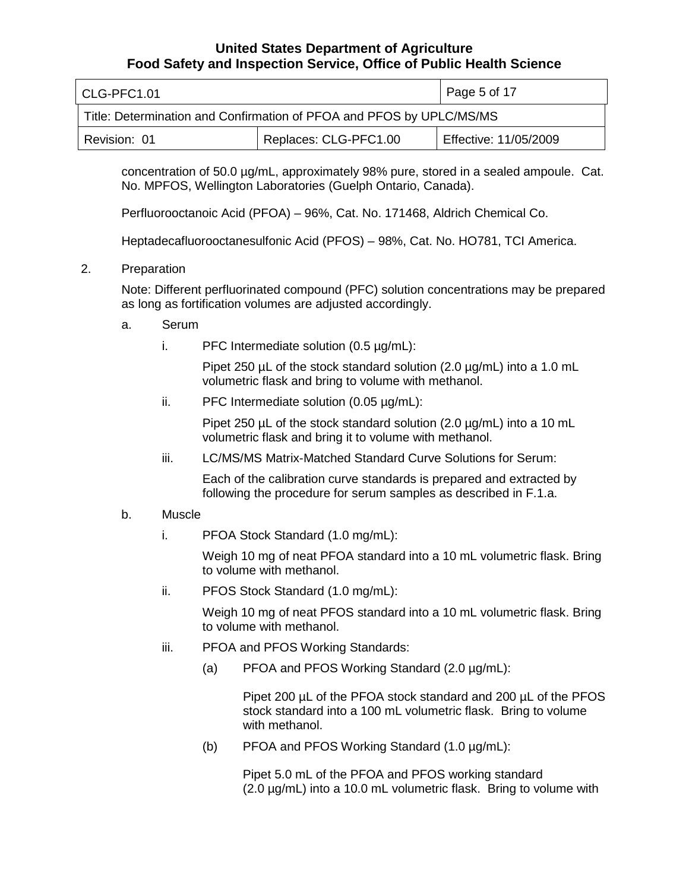| l CLG-PFC1.01                                                        |                       | Page 5 of 17          |
|----------------------------------------------------------------------|-----------------------|-----------------------|
| Title: Determination and Confirmation of PFOA and PFOS by UPLC/MS/MS |                       |                       |
| Revision: 01                                                         | Replaces: CLG-PFC1.00 | Effective: 11/05/2009 |

concentration of 50.0 µg/mL, approximately 98% pure, stored in a sealed ampoule. Cat. No. MPFOS, Wellington Laboratories (Guelph Ontario, Canada).

Perfluorooctanoic Acid (PFOA) – 96%, Cat. No. 171468, Aldrich Chemical Co.

Heptadecafluorooctanesulfonic Acid (PFOS) – 98%, Cat. No. HO781, TCI America.

2. Preparation

Note: Different perfluorinated compound (PFC) solution concentrations may be prepared as long as fortification volumes are adjusted accordingly.

- a. Serum
	- i. PFC Intermediate solution  $(0.5 \mu g/mL)$ :

Pipet 250  $\mu$ L of the stock standard solution (2.0  $\mu$ g/mL) into a 1.0 mL volumetric flask and bring to volume with methanol.

ii. PFC Intermediate solution (0.05 µg/mL):

Pipet 250 µL of the stock standard solution (2.0 µg/mL) into a 10 mL volumetric flask and bring it to volume with methanol.

iii. LC/MS/MS Matrix-Matched Standard Curve Solutions for Serum:

Each of the calibration curve standards is prepared and extracted by following the procedure for serum samples as described in F.1.a.

- b. Muscle
	- i. PFOA Stock Standard (1.0 mg/mL):

Weigh 10 mg of neat PFOA standard into a 10 mL volumetric flask. Bring to volume with methanol.

ii. PFOS Stock Standard (1.0 mg/mL):

Weigh 10 mg of neat PFOS standard into a 10 mL volumetric flask. Bring to volume with methanol.

- iii. PFOA and PFOS Working Standards:
	- (a) PFOA and PFOS Working Standard (2.0 µg/mL):

Pipet 200 µL of the PFOA stock standard and 200 µL of the PFOS stock standard into a 100 mL volumetric flask. Bring to volume with methanol.

(b) PFOA and PFOS Working Standard (1.0 µg/mL):

Pipet 5.0 mL of the PFOA and PFOS working standard (2.0 µg/mL) into a 10.0 mL volumetric flask. Bring to volume with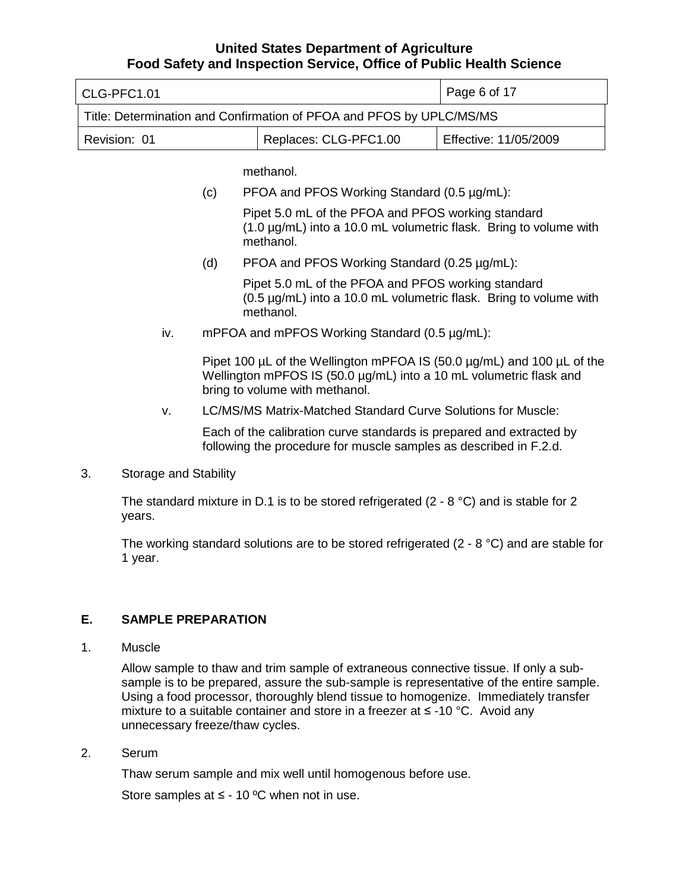| l CLG-PFC1.01                                                        |  | Page 6 of 17          |
|----------------------------------------------------------------------|--|-----------------------|
| Title: Determination and Confirmation of PFOA and PFOS by UPLC/MS/MS |  |                       |
| Replaces: CLG-PFC1.00<br>Revision: 01                                |  | Effective: 11/05/2009 |

methanol.

(c) PFOA and PFOS Working Standard (0.5 µg/mL):

Pipet 5.0 mL of the PFOA and PFOS working standard (1.0 µg/mL) into a 10.0 mL volumetric flask. Bring to volume with methanol.

(d) PFOA and PFOS Working Standard  $(0.25 \mu g/mL)$ :

Pipet 5.0 mL of the PFOA and PFOS working standard (0.5 µg/mL) into a 10.0 mL volumetric flask. Bring to volume with methanol.

iv. mPFOA and mPFOS Working Standard (0.5 µg/mL):

Pipet 100 µL of the Wellington mPFOA IS (50.0 µg/mL) and 100 µL of the Wellington mPFOS IS (50.0 µg/mL) into a 10 mL volumetric flask and bring to volume with methanol.

v. LC/MS/MS Matrix-Matched Standard Curve Solutions for Muscle:

Each of the calibration curve standards is prepared and extracted by following the procedure for muscle samples as described in F.2.d.

3. Storage and Stability

The standard mixture in D.1 is to be stored refrigerated  $(2 - 8 \degree C)$  and is stable for 2 years.

The working standard solutions are to be stored refrigerated (2 - 8  $^{\circ}$ C) and are stable for 1 year.

### **E. SAMPLE PREPARATION**

1. Muscle

Allow sample to thaw and trim sample of extraneous connective tissue. If only a subsample is to be prepared, assure the sub-sample is representative of the entire sample. Using a food processor, thoroughly blend tissue to homogenize. Immediately transfer mixture to a suitable container and store in a freezer at ≤ -10 °C. Avoid any unnecessary freeze/thaw cycles.

2. Serum

Thaw serum sample and mix well until homogenous before use.

Store samples at  $\leq$  - 10 °C when not in use.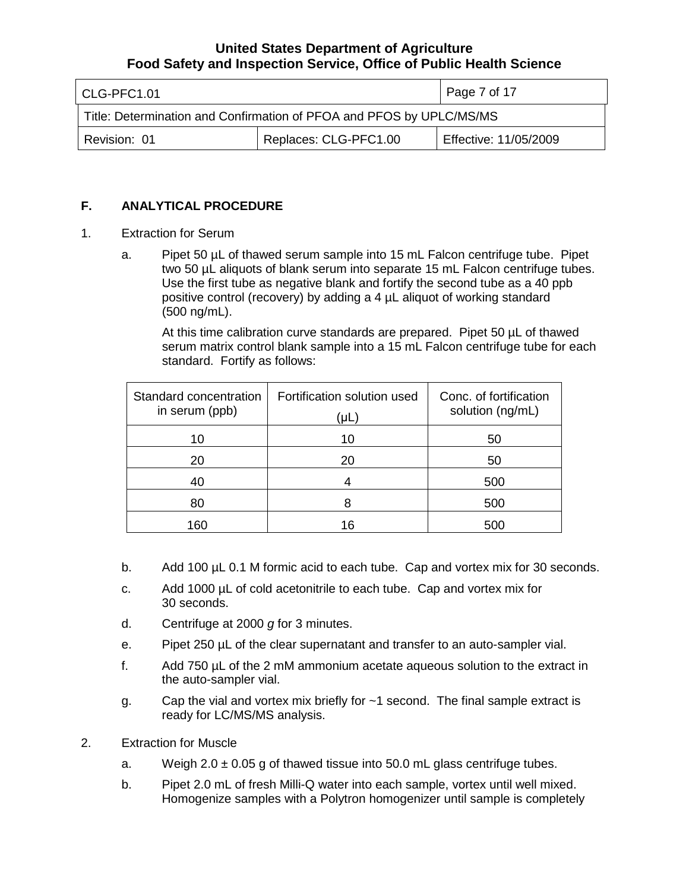| l CLG-PFC1.01                                                        |                       | Page 7 of 17          |
|----------------------------------------------------------------------|-----------------------|-----------------------|
| Title: Determination and Confirmation of PFOA and PFOS by UPLC/MS/MS |                       |                       |
| Revision: 01                                                         | Replaces: CLG-PFC1.00 | Effective: 11/05/2009 |

### **F. ANALYTICAL PROCEDURE**

- 1. Extraction for Serum
	- a. Pipet 50 µL of thawed serum sample into 15 mL Falcon centrifuge tube. Pipet two 50 µL aliquots of blank serum into separate 15 mL Falcon centrifuge tubes. Use the first tube as negative blank and fortify the second tube as a 40 ppb positive control (recovery) by adding a 4 µL aliquot of working standard (500 ng/mL).

At this time calibration curve standards are prepared. Pipet 50 µL of thawed serum matrix control blank sample into a 15 mL Falcon centrifuge tube for each standard. Fortify as follows:

| Standard concentration<br>in serum (ppb) | Fortification solution used<br>UL. | Conc. of fortification<br>solution (ng/mL) |
|------------------------------------------|------------------------------------|--------------------------------------------|
| 10                                       | 10                                 | 50                                         |
| 20                                       | 20                                 | 50                                         |
| 40                                       |                                    | 500                                        |
| 80                                       |                                    | 500                                        |
| 160                                      | 16                                 | 50C                                        |

- b. Add 100 µL 0.1 M formic acid to each tube. Cap and vortex mix for 30 seconds.
- c. Add 1000 µL of cold acetonitrile to each tube. Cap and vortex mix for 30 seconds.
- d. Centrifuge at 2000 *g* for 3 minutes.
- e. Pipet 250 µL of the clear supernatant and transfer to an auto-sampler vial.
- f. Add 750 µL of the 2 mM ammonium acetate aqueous solution to the extract in the auto-sampler vial.
- g. Cap the vial and vortex mix briefly for ~1 second. The final sample extract is ready for LC/MS/MS analysis.
- 2. Extraction for Muscle
	- a. Weigh  $2.0 \pm 0.05$  g of thawed tissue into 50.0 mL glass centrifuge tubes.
	- b. Pipet 2.0 mL of fresh Milli-Q water into each sample, vortex until well mixed. Homogenize samples with a Polytron homogenizer until sample is completely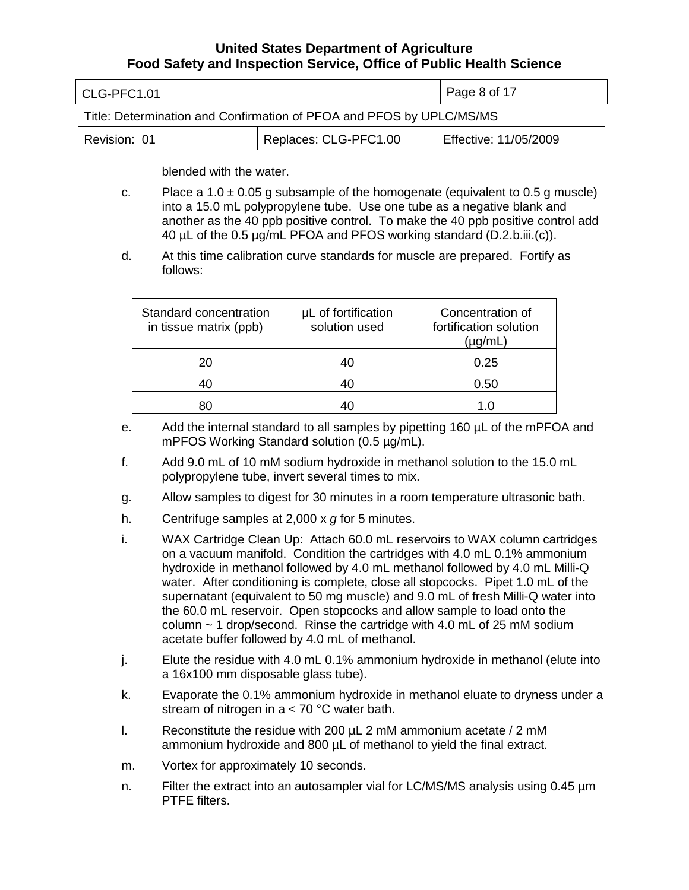| l CLG-PFC1.01                                                        |                       | Page 8 of 17          |
|----------------------------------------------------------------------|-----------------------|-----------------------|
| Title: Determination and Confirmation of PFOA and PFOS by UPLC/MS/MS |                       |                       |
| Revision: 01                                                         | Replaces: CLG-PFC1.00 | Effective: 11/05/2009 |

blended with the water.

- c. Place a 1.0  $\pm$  0.05 g subsample of the homogenate (equivalent to 0.5 g muscle) into a 15.0 mL polypropylene tube. Use one tube as a negative blank and another as the 40 ppb positive control. To make the 40 ppb positive control add 40 µL of the 0.5 µg/mL PFOA and PFOS working standard (D.2.b.iii.(c)).
- d. At this time calibration curve standards for muscle are prepared. Fortify as follows:

| Standard concentration<br>in tissue matrix (ppb) | µL of fortification<br>solution used | Concentration of<br>fortification solution<br>ug/mL) |
|--------------------------------------------------|--------------------------------------|------------------------------------------------------|
| 20                                               | 40                                   | 0.25                                                 |
|                                                  | 40                                   | 0.50                                                 |
|                                                  |                                      |                                                      |

- e. Add the internal standard to all samples by pipetting 160 µL of the mPFOA and mPFOS Working Standard solution (0.5 µg/mL).
- f. Add 9.0 mL of 10 mM sodium hydroxide in methanol solution to the 15.0 mL polypropylene tube, invert several times to mix.
- g. Allow samples to digest for 30 minutes in a room temperature ultrasonic bath.
- h. Centrifuge samples at 2,000 x *g* for 5 minutes.
- i. WAX Cartridge Clean Up: Attach 60.0 mL reservoirs to WAX column cartridges on a vacuum manifold. Condition the cartridges with 4.0 mL 0.1% ammonium hydroxide in methanol followed by 4.0 mL methanol followed by 4.0 mL Milli-Q water. After conditioning is complete, close all stopcocks. Pipet 1.0 mL of the supernatant (equivalent to 50 mg muscle) and 9.0 mL of fresh Milli-Q water into the 60.0 mL reservoir. Open stopcocks and allow sample to load onto the column  $\sim$  1 drop/second. Rinse the cartridge with 4.0 mL of 25 mM sodium acetate buffer followed by 4.0 mL of methanol.
- j. Elute the residue with 4.0 mL 0.1% ammonium hydroxide in methanol (elute into a 16x100 mm disposable glass tube).
- k. Evaporate the 0.1% ammonium hydroxide in methanol eluate to dryness under a stream of nitrogen in a < 70 °C water bath.
- 1. Reconstitute the residue with 200  $\mu$  L 2 mM ammonium acetate / 2 mM ammonium hydroxide and 800 µL of methanol to yield the final extract.
- m. Vortex for approximately 10 seconds.
- n. Filter the extract into an autosampler vial for LC/MS/MS analysis using 0.45 µm PTFE filters.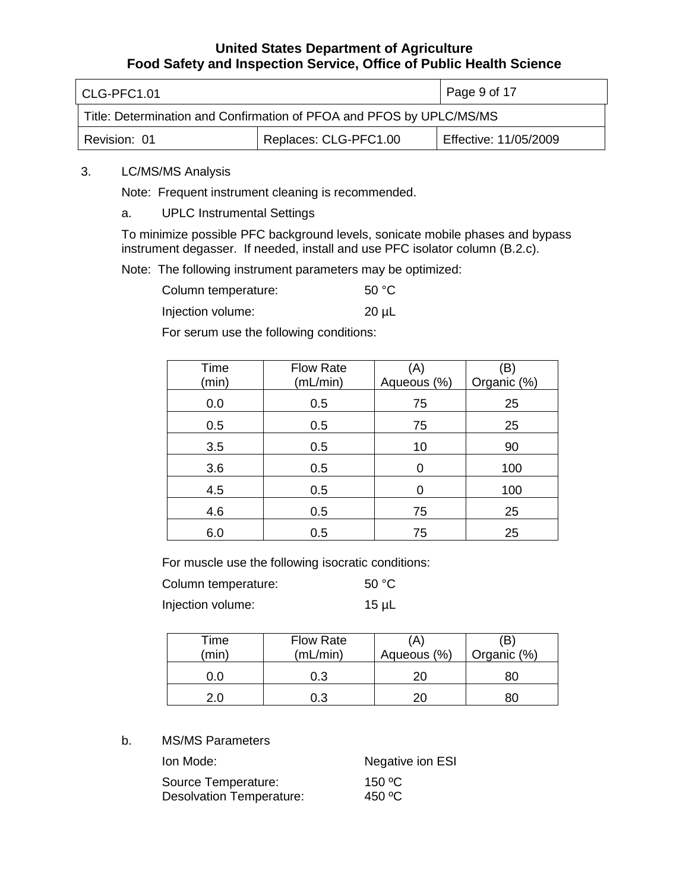| l CLG-PFC1.01                                                        |  | $\vert$ Page 9 of 17  |  |
|----------------------------------------------------------------------|--|-----------------------|--|
| Title: Determination and Confirmation of PFOA and PFOS by UPLC/MS/MS |  |                       |  |
| Replaces: CLG-PFC1.00<br>Revision: 01                                |  | Effective: 11/05/2009 |  |

### 3. LC/MS/MS Analysis

Note: Frequent instrument cleaning is recommended.

### a. UPLC Instrumental Settings

To minimize possible PFC background levels, sonicate mobile phases and bypass instrument degasser. If needed, install and use PFC isolator column (B.2.c).

Note: The following instrument parameters may be optimized:

| Column temperature: | 50 °C |
|---------------------|-------|
|---------------------|-------|

Injection volume: 20 µL

For serum use the following conditions:

| Time<br>(min) | <b>Flow Rate</b><br>(mL/min) | (A)<br>Aqueous (%) | (B)<br>Organic (%) |
|---------------|------------------------------|--------------------|--------------------|
| 0.0           | 0.5                          | 75                 | 25                 |
| 0.5           | 0.5                          | 75                 | 25                 |
| 3.5           | 0.5                          | 10                 | 90                 |
| 3.6           | 0.5                          | 0                  | 100                |
| 4.5           | 0.5                          | 0                  | 100                |
| 4.6           | 0.5                          | 75                 | 25                 |
| 6.0           | 0.5                          | 75                 | 25                 |

For muscle use the following isocratic conditions:

| Column temperature: | 50 °C      |
|---------------------|------------|
| Injection volume:   | $15 \mu L$ |

| Time<br>min) | <b>Flow Rate</b><br>(mL/min) | A<br>Aqueous (%) | (B<br>Organic (%) |
|--------------|------------------------------|------------------|-------------------|
|              | 0.3                          | 20               |                   |
|              | 0.3                          |                  |                   |

### b. MS/MS Parameters

| Ion Mode:                       | Negative ion ESI   |
|---------------------------------|--------------------|
| Source Temperature:             | 150 $\,^{\circ}$ C |
| <b>Desolvation Temperature:</b> | 450 °C             |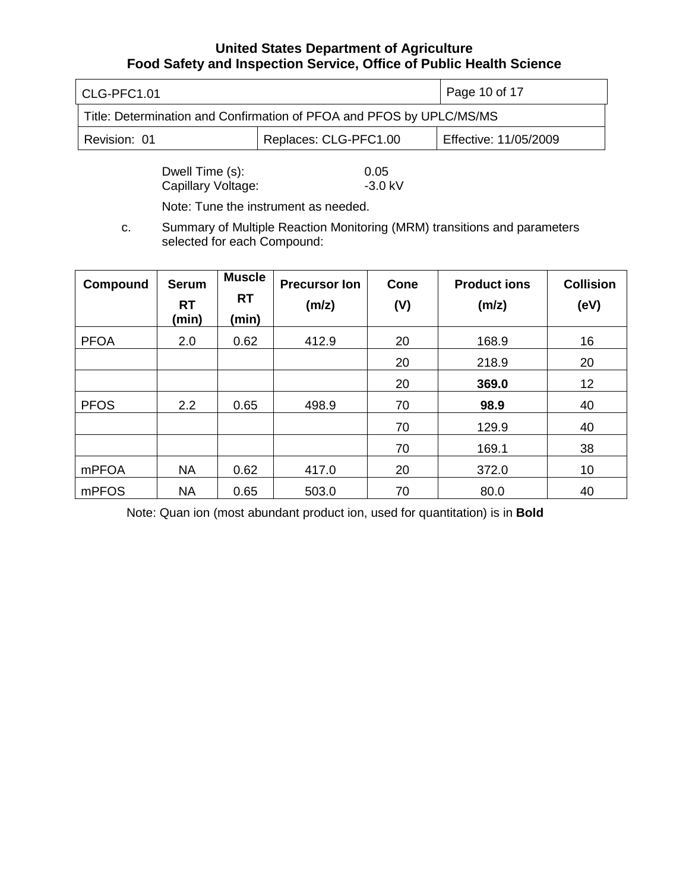| l CLG-PFC1.01                                                        |  | Page 10 of 17         |
|----------------------------------------------------------------------|--|-----------------------|
| Title: Determination and Confirmation of PFOA and PFOS by UPLC/MS/MS |  |                       |
| Replaces: CLG-PFC1.00<br>Revision: 01                                |  | Effective: 11/05/2009 |

Dwell Time (s): 0.05<br>Capillary Voltage: 3.0 kV Capillary Voltage:

Note: Tune the instrument as needed.

c. Summary of Multiple Reaction Monitoring (MRM) transitions and parameters selected for each Compound:

| Compound     | <b>Serum</b><br><b>RT</b><br>(min) | <b>Muscle</b><br><b>RT</b><br>(min) | <b>Precursor Ion</b><br>(m/z) | <b>Cone</b><br>(V) | <b>Product ions</b><br>(m/z) | <b>Collision</b><br>(eV) |
|--------------|------------------------------------|-------------------------------------|-------------------------------|--------------------|------------------------------|--------------------------|
| <b>PFOA</b>  | 2.0                                | 0.62                                | 412.9                         | 20                 | 168.9                        | 16                       |
|              |                                    |                                     |                               | 20                 | 218.9                        | 20                       |
|              |                                    |                                     |                               | 20                 | 369.0                        | 12                       |
| <b>PFOS</b>  | 2.2                                | 0.65                                | 498.9                         | 70                 | 98.9                         | 40                       |
|              |                                    |                                     |                               | 70                 | 129.9                        | 40                       |
|              |                                    |                                     |                               | 70                 | 169.1                        | 38                       |
| <b>mPFOA</b> | <b>NA</b>                          | 0.62                                | 417.0                         | 20                 | 372.0                        | 10                       |
| mPFOS        | <b>NA</b>                          | 0.65                                | 503.0                         | 70                 | 80.0                         | 40                       |

Note: Quan ion (most abundant product ion, used for quantitation) is in **Bold**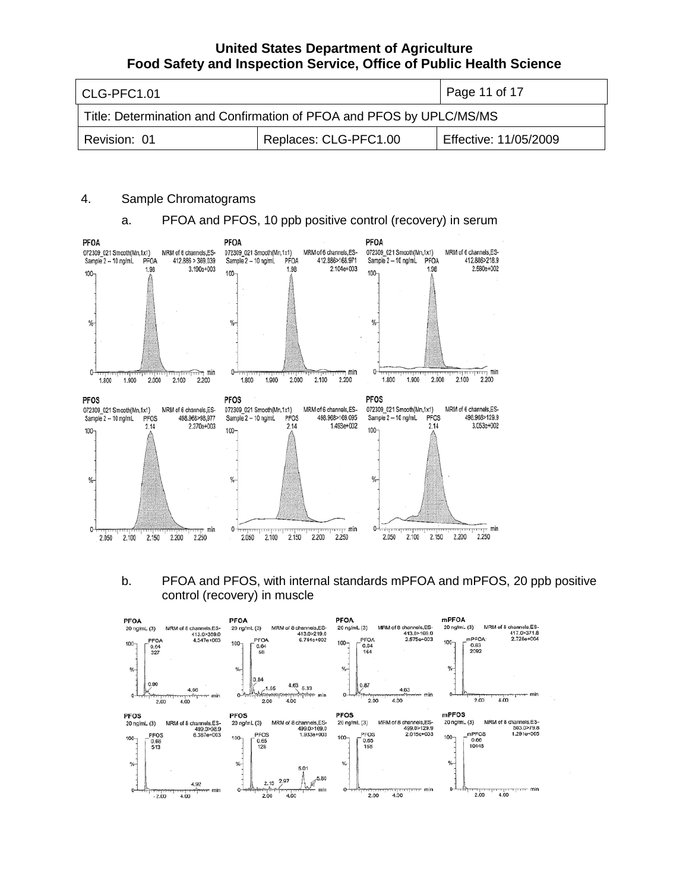| l CLG-PFC1.01                                                        |  | Page 11 of 17         |  |
|----------------------------------------------------------------------|--|-----------------------|--|
| Title: Determination and Confirmation of PFOA and PFOS by UPLC/MS/MS |  |                       |  |
| Replaces: CLG-PFC1.00<br>Revision: 01                                |  | Effective: 11/05/2009 |  |

### 4. Sample Chromatograms

### a. PFOA and PFOS, 10 ppb positive control (recovery) in serum



b. PFOA and PFOS, with internal standards mPFOA and mPFOS, 20 ppb positive control (recovery) in muscle

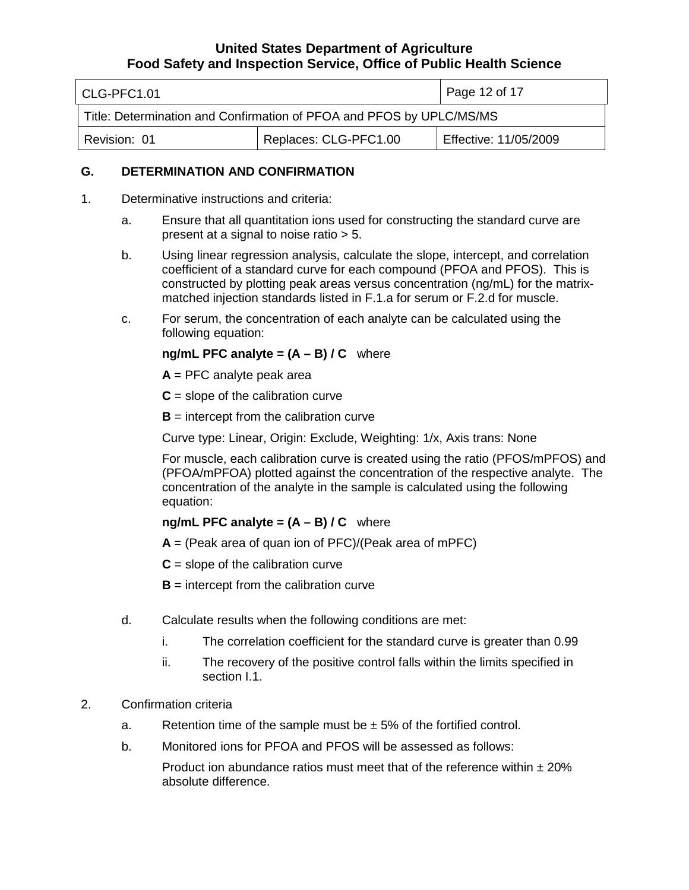| l CLG-PFC1.01                                                        |  | Page 12 of 17         |  |
|----------------------------------------------------------------------|--|-----------------------|--|
| Title: Determination and Confirmation of PFOA and PFOS by UPLC/MS/MS |  |                       |  |
| Replaces: CLG-PFC1.00<br>Revision: 01                                |  | Effective: 11/05/2009 |  |

### **G. DETERMINATION AND CONFIRMATION**

- 1. Determinative instructions and criteria:
	- a. Ensure that all quantitation ions used for constructing the standard curve are present at a signal to noise ratio > 5.
	- b. Using linear regression analysis, calculate the slope, intercept, and correlation coefficient of a standard curve for each compound (PFOA and PFOS). This is constructed by plotting peak areas versus concentration (ng/mL) for the matrixmatched injection standards listed in F.1.a for serum or F.2.d for muscle.
	- c. For serum, the concentration of each analyte can be calculated using the following equation:

### **ng/mL PFC analyte = (A – B) / C** where

- **A** = PFC analyte peak area
- $C =$  slope of the calibration curve
- **intercept from the calibration curve**

Curve type: Linear, Origin: Exclude, Weighting: 1/x, Axis trans: None

For muscle, each calibration curve is created using the ratio (PFOS/mPFOS) and (PFOA/mPFOA) plotted against the concentration of the respective analyte. The concentration of the analyte in the sample is calculated using the following equation:

### **ng/mL PFC analyte = (A – B) / C** where

- **A** = (Peak area of quan ion of PFC)/(Peak area of mPFC)
- $C =$  slope of the calibration curve
- **B** = intercept from the calibration curve
- d. Calculate results when the following conditions are met:
	- i. The correlation coefficient for the standard curve is greater than 0.99
	- ii. The recovery of the positive control falls within the limits specified in section I.1.
- 2. Confirmation criteria
	- a. Retention time of the sample must be  $\pm$  5% of the fortified control.
	- b. Monitored ions for PFOA and PFOS will be assessed as follows:

Product ion abundance ratios must meet that of the reference within  $\pm 20\%$ absolute difference.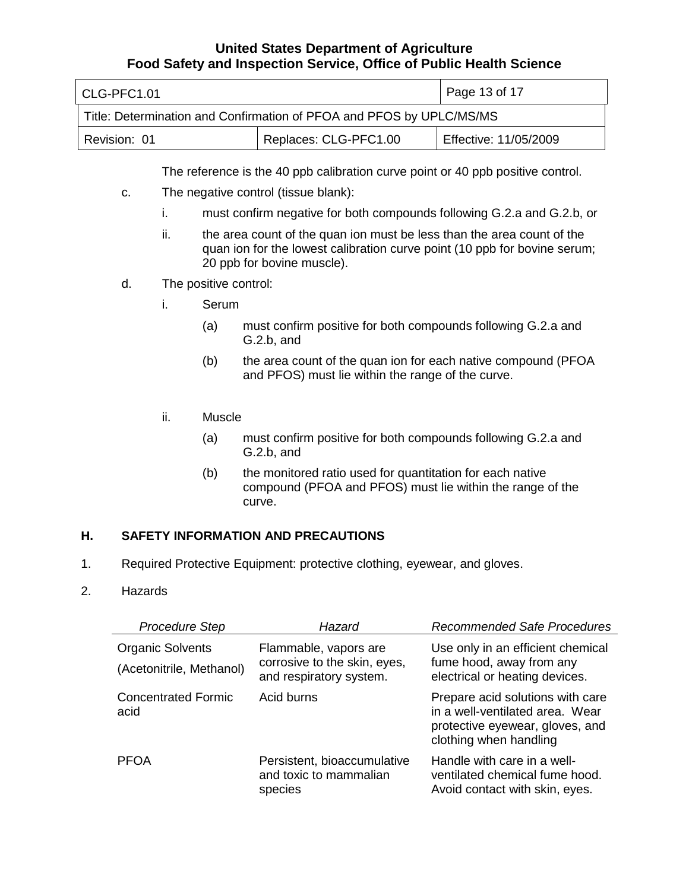| l CLG-PFC1.01                                                        |  | Page 13 of 17         |
|----------------------------------------------------------------------|--|-----------------------|
| Title: Determination and Confirmation of PFOA and PFOS by UPLC/MS/MS |  |                       |
| Replaces: CLG-PFC1.00<br>Revision: 01                                |  | Effective: 11/05/2009 |

The reference is the 40 ppb calibration curve point or 40 ppb positive control.

- c. The negative control (tissue blank):
	- i. must confirm negative for both compounds following G.2.a and G.2.b, or
	- ii. the area count of the quan ion must be less than the area count of the quan ion for the lowest calibration curve point (10 ppb for bovine serum; 20 ppb for bovine muscle).
- d. The positive control:
	- i. Serum
		- (a) must confirm positive for both compounds following G.2.a and G.2.b, and
		- (b) the area count of the quan ion for each native compound (PFOA and PFOS) must lie within the range of the curve.
	- ii. Muscle
		- (a) must confirm positive for both compounds following G.2.a and G.2.b, and
		- (b) the monitored ratio used for quantitation for each native compound (PFOA and PFOS) must lie within the range of the curve.

### **H. SAFETY INFORMATION AND PRECAUTIONS**

- 1. Required Protective Equipment: protective clothing, eyewear, and gloves.
- 2. Hazards

| <b>Procedure Step</b>                               | Hazard                                                                           | <b>Recommended Safe Procedures</b>                                                                                               |
|-----------------------------------------------------|----------------------------------------------------------------------------------|----------------------------------------------------------------------------------------------------------------------------------|
| <b>Organic Solvents</b><br>(Acetonitrile, Methanol) | Flammable, vapors are<br>corrosive to the skin, eyes,<br>and respiratory system. | Use only in an efficient chemical<br>fume hood, away from any<br>electrical or heating devices.                                  |
| <b>Concentrated Formic</b><br>acid                  | Acid burns                                                                       | Prepare acid solutions with care<br>in a well-ventilated area. Wear<br>protective eyewear, gloves, and<br>clothing when handling |
| <b>PFOA</b>                                         | Persistent, bioaccumulative<br>and toxic to mammalian<br>species                 | Handle with care in a well-<br>ventilated chemical fume hood.<br>Avoid contact with skin, eyes.                                  |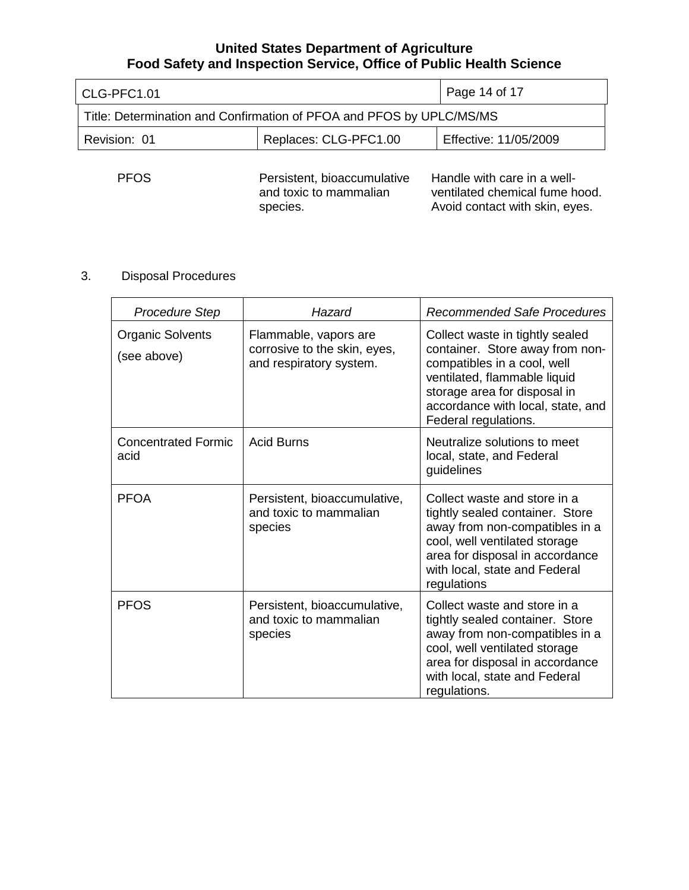| CLG-PFC1.01                                                          | Page 14 of 17                                                     |                                                                                                 |  |
|----------------------------------------------------------------------|-------------------------------------------------------------------|-------------------------------------------------------------------------------------------------|--|
| Title: Determination and Confirmation of PFOA and PFOS by UPLC/MS/MS |                                                                   |                                                                                                 |  |
| Revision: 01                                                         | Replaces: CLG-PFC1.00                                             | Effective: 11/05/2009                                                                           |  |
| <b>PFOS</b>                                                          | Persistent, bioaccumulative<br>and toxic to mammalian<br>species. | Handle with care in a well-<br>ventilated chemical fume hood.<br>Avoid contact with skin, eyes. |  |

# 3. Disposal Procedures

| <b>Procedure Step</b>                  | Hazard                                                                           | <b>Recommended Safe Procedures</b>                                                                                                                                                                                             |
|----------------------------------------|----------------------------------------------------------------------------------|--------------------------------------------------------------------------------------------------------------------------------------------------------------------------------------------------------------------------------|
| <b>Organic Solvents</b><br>(see above) | Flammable, vapors are<br>corrosive to the skin, eyes,<br>and respiratory system. | Collect waste in tightly sealed<br>container. Store away from non-<br>compatibles in a cool, well<br>ventilated, flammable liquid<br>storage area for disposal in<br>accordance with local, state, and<br>Federal regulations. |
| <b>Concentrated Formic</b><br>acid     | <b>Acid Burns</b>                                                                | Neutralize solutions to meet<br>local, state, and Federal<br>guidelines                                                                                                                                                        |
| <b>PFOA</b>                            | Persistent, bioaccumulative,<br>and toxic to mammalian<br>species                | Collect waste and store in a<br>tightly sealed container. Store<br>away from non-compatibles in a<br>cool, well ventilated storage<br>area for disposal in accordance<br>with local, state and Federal<br>regulations          |
| <b>PFOS</b>                            | Persistent, bioaccumulative,<br>and toxic to mammalian<br>species                | Collect waste and store in a<br>tightly sealed container. Store<br>away from non-compatibles in a<br>cool, well ventilated storage<br>area for disposal in accordance<br>with local, state and Federal<br>regulations.         |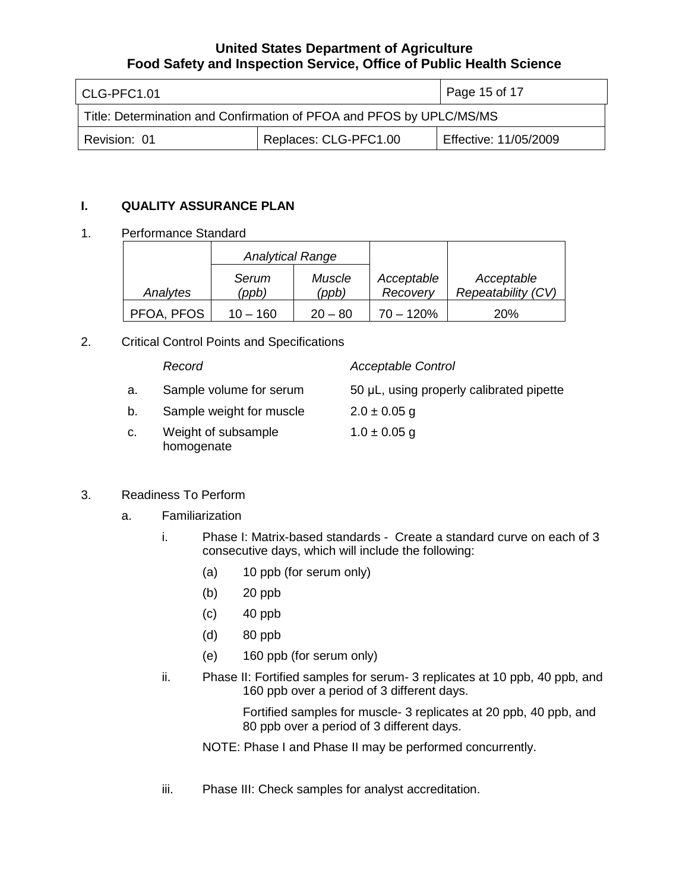| l CLG-PFC1.01                                                        | Page 15 of 17         |                       |  |
|----------------------------------------------------------------------|-----------------------|-----------------------|--|
| Title: Determination and Confirmation of PFOA and PFOS by UPLC/MS/MS |                       |                       |  |
| Revision: 01                                                         | Replaces: CLG-PFC1.00 | Effective: 11/05/2009 |  |

### **I. QUALITY ASSURANCE PLAN**

### 1. Performance Standard

|            | <b>Analytical Range</b> |                 |                        |                                  |
|------------|-------------------------|-----------------|------------------------|----------------------------------|
| Analytes   | Serum<br>(ppb)          | Muscle<br>(ppb) | Acceptable<br>Recovery | Acceptable<br>Repeatability (CV) |
| PFOA, PFOS | $10 - 160$              | $20 - 80$       | $70 - 120%$            | <b>20%</b>                       |

2. Critical Control Points and Specifications

#### *Record Acceptable Control* a. b. c. Sample volume for serum Sample weight for muscle Weight of subsample homogenate 50 μL, using properly calibrated pipette  $2.0 \pm 0.05$  g  $1.0 \pm 0.05$  g

# 3. Readiness To Perform

- a. Familiarization
	- i. Phase I: Matrix-based standards Create a standard curve on each of 3 consecutive days, which will include the following:
		- (a) 10 ppb (for serum only)
		- (b) 20 ppb
		- (c) 40 ppb
		- (d) 80 ppb
		- (e) 160 ppb (for serum only)
	- ii. Phase II: Fortified samples for serum- 3 replicates at 10 ppb, 40 ppb, and 160 ppb over a period of 3 different days.

Fortified samples for muscle- 3 replicates at 20 ppb, 40 ppb, and 80 ppb over a period of 3 different days.

NOTE: Phase I and Phase II may be performed concurrently.

iii. Phase III: Check samples for analyst accreditation.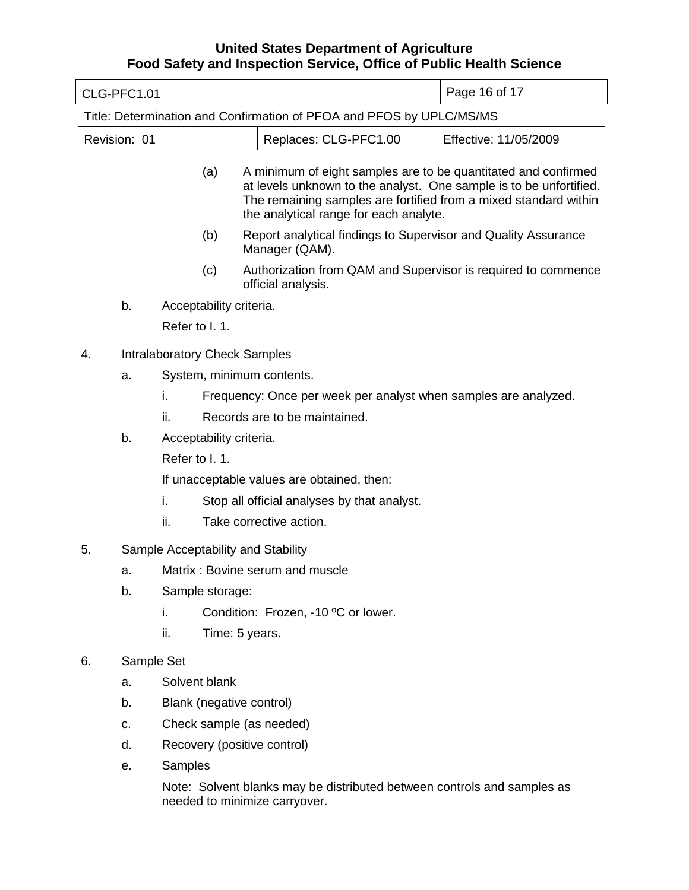|                                                                      | CLG-PFC1.01 |                                                                                                                                                                                                                                                           |                         |                               |  | Page 16 of 17                                                  |
|----------------------------------------------------------------------|-------------|-----------------------------------------------------------------------------------------------------------------------------------------------------------------------------------------------------------------------------------------------------------|-------------------------|-------------------------------|--|----------------------------------------------------------------|
| Title: Determination and Confirmation of PFOA and PFOS by UPLC/MS/MS |             |                                                                                                                                                                                                                                                           |                         |                               |  |                                                                |
| Revision: 01<br>Replaces: CLG-PFC1.00                                |             |                                                                                                                                                                                                                                                           | Effective: 11/05/2009   |                               |  |                                                                |
|                                                                      |             | A minimum of eight samples are to be quantitated and confirmed<br>(a)<br>at levels unknown to the analyst. One sample is to be unfortified.<br>The remaining samples are fortified from a mixed standard within<br>the analytical range for each analyte. |                         |                               |  |                                                                |
|                                                                      |             |                                                                                                                                                                                                                                                           | (b)                     | Manager (QAM).                |  | Report analytical findings to Supervisor and Quality Assurance |
|                                                                      |             |                                                                                                                                                                                                                                                           | (c)                     | official analysis.            |  | Authorization from QAM and Supervisor is required to commence  |
|                                                                      | b.          |                                                                                                                                                                                                                                                           | Acceptability criteria. |                               |  |                                                                |
|                                                                      |             | Refer to I. 1.                                                                                                                                                                                                                                            |                         |                               |  |                                                                |
| 4.                                                                   |             | <b>Intralaboratory Check Samples</b>                                                                                                                                                                                                                      |                         |                               |  |                                                                |
|                                                                      | a.          | System, minimum contents.                                                                                                                                                                                                                                 |                         |                               |  |                                                                |
|                                                                      |             | Frequency: Once per week per analyst when samples are analyzed.<br>i.                                                                                                                                                                                     |                         |                               |  |                                                                |
|                                                                      |             | ii.                                                                                                                                                                                                                                                       |                         | Records are to be maintained. |  |                                                                |
|                                                                      | b.          | Acceptability criteria.                                                                                                                                                                                                                                   |                         |                               |  |                                                                |
|                                                                      |             | Refer to I. 1.                                                                                                                                                                                                                                            |                         |                               |  |                                                                |
|                                                                      |             | If unacceptable values are obtained, then:                                                                                                                                                                                                                |                         |                               |  |                                                                |
|                                                                      |             | i.<br>Stop all official analyses by that analyst.                                                                                                                                                                                                         |                         |                               |  |                                                                |
|                                                                      |             | ii.                                                                                                                                                                                                                                                       | Take corrective action. |                               |  |                                                                |
| 5.                                                                   |             | Sample Acceptability and Stability                                                                                                                                                                                                                        |                         |                               |  |                                                                |
|                                                                      | a.          | Matrix: Bovine serum and muscle                                                                                                                                                                                                                           |                         |                               |  |                                                                |
|                                                                      | b.          | Sample storage:                                                                                                                                                                                                                                           |                         |                               |  |                                                                |
|                                                                      |             | Condition: Frozen, -10 °C or lower.<br>i.                                                                                                                                                                                                                 |                         |                               |  |                                                                |
|                                                                      |             | ii.                                                                                                                                                                                                                                                       | Time: 5 years.          |                               |  |                                                                |
| 6.                                                                   |             | Sample Set                                                                                                                                                                                                                                                |                         |                               |  |                                                                |
|                                                                      | a.          | Solvent blank                                                                                                                                                                                                                                             |                         |                               |  |                                                                |
|                                                                      | b.          | Blank (negative control)                                                                                                                                                                                                                                  |                         |                               |  |                                                                |
|                                                                      | C.          | Check sample (as needed)                                                                                                                                                                                                                                  |                         |                               |  |                                                                |
|                                                                      | d.          |                                                                                                                                                                                                                                                           |                         | Recovery (positive control)   |  |                                                                |
|                                                                      | е.          | Samples                                                                                                                                                                                                                                                   |                         |                               |  |                                                                |

Note: Solvent blanks may be distributed between controls and samples as needed to minimize carryover.